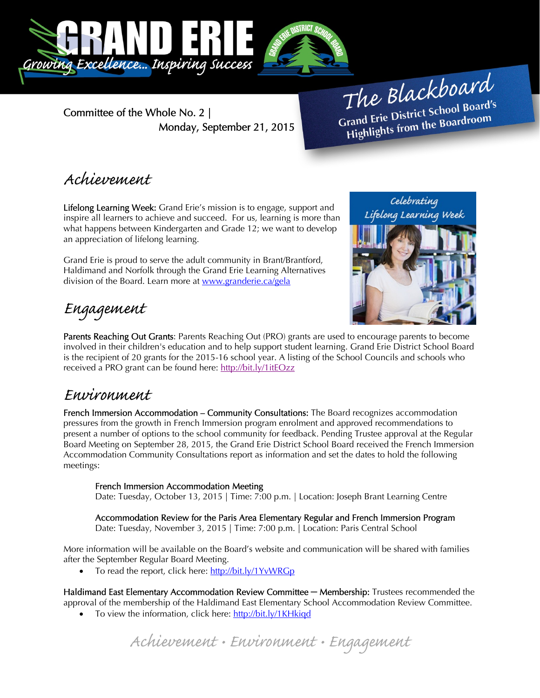

Committee of the Whole No. 2 | Monday, September 21, 2015

The Blackboard The Burner of Board's<br>Grand Erie District School Board's rand Erie District School Board<br>Highlights from the Boardroom

## Achievement

Lifelong Learning Week: Grand Erie's mission is to engage, support and inspire all learners to achieve and succeed. For us, learning is more than what happens between Kindergarten and Grade 12; we want to develop an appreciation of lifelong learning.

Grand Erie is proud to serve the adult community in Brant/Brantford, Haldimand and Norfolk through the Grand Erie Learning Alternatives division of the Board. Learn more at www.granderie.ca/gela



# Engagement

Parents Reaching Out Grants: Parents Reaching Out (PRO) grants are used to encourage parents to become involved in their children's education and to help support student learning. Grand Erie District School Board is the recipient of 20 grants for the 2015-16 school year. A listing of the School Councils and schools who received a PRO grant can be found here: http://bit.ly/1itEOzz

### Environment

French Immersion Accommodation – Community Consultations: The Board recognizes accommodation pressures from the growth in French Immersion program enrolment and approved recommendations to present a number of options to the school community for feedback. Pending Trustee approval at the Regular Board Meeting on September 28, 2015, the Grand Erie District School Board received the French Immersion Accommodation Community Consultations report as information and set the dates to hold the following meetings:

### French Immersion Accommodation Meeting

Date: Tuesday, October 13, 2015 | Time: 7:00 p.m. | Location: Joseph Brant Learning Centre

Accommodation Review for the Paris Area Elementary Regular and French Immersion Program Date: Tuesday, November 3, 2015 | Time: 7:00 p.m. | Location: Paris Central School

More information will be available on the Board's website and communication will be shared with families after the September Regular Board Meeting.

To read the report, click here: http://bit.ly/1YvWRGp

Haldimand East Elementary Accommodation Review Committee **─** Membership: Trustees recommended the approval of the membership of the Haldimand East Elementary School Accommodation Review Committee.

To view the information, click here: http://bit.ly/1KHkigd